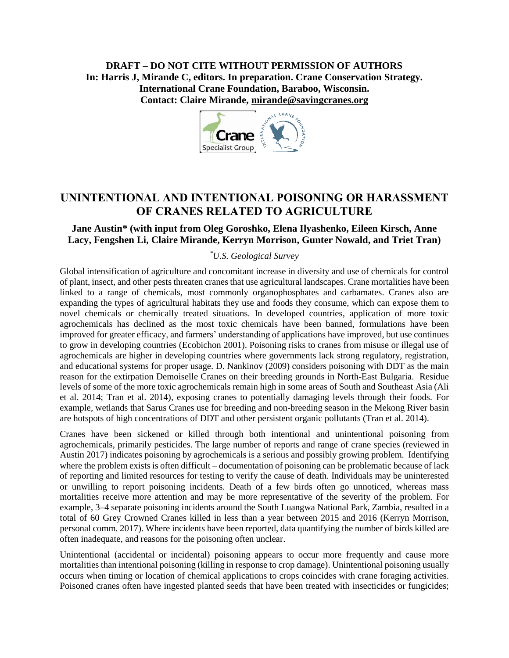**DRAFT – DO NOT CITE WITHOUT PERMISSION OF AUTHORS In: Harris J, Mirande C, editors. In preparation. Crane Conservation Strategy. International Crane Foundation, Baraboo, Wisconsin. Contact: Claire Mirande, [mirande@savingcranes.org](mailto:mirande@savingcranes.org)**



# **UNINTENTIONAL AND INTENTIONAL POISONING OR HARASSMENT OF CRANES RELATED TO AGRICULTURE**

### **Jane Austin\* (with input from Oleg Goroshko, Elena Ilyashenko, Eileen Kirsch, Anne Lacy, Fengshen Li, Claire Mirande, Kerryn Morrison, Gunter Nowald, and Triet Tran)**

#### *\*U.S. Geological Survey*

Global intensification of agriculture and concomitant increase in diversity and use of chemicals for control of plant, insect, and other pests threaten cranes that use agricultural landscapes. Crane mortalities have been linked to a range of chemicals, most commonly organophosphates and carbamates. Cranes also are expanding the types of agricultural habitats they use and foods they consume, which can expose them to novel chemicals or chemically treated situations. In developed countries, application of more toxic agrochemicals has declined as the most toxic chemicals have been banned, formulations have been improved for greater efficacy, and farmers' understanding of applications have improved, but use continues to grow in developing countries (Ecobichon 2001). Poisoning risks to cranes from misuse or illegal use of agrochemicals are higher in developing countries where governments lack strong regulatory, registration, and educational systems for proper usage. D. Nankinov (2009) considers poisoning with DDT as the main reason for the extirpation Demoiselle Cranes on their breeding grounds in North-East Bulgaria. Residue levels of some of the more toxic agrochemicals remain high in some areas of South and Southeast Asia (Ali et al. 2014; Tran et al. 2014), exposing cranes to potentially damaging levels through their foods. For example, wetlands that Sarus Cranes use for breeding and non-breeding season in the Mekong River basin are hotspots of high concentrations of DDT and other persistent organic pollutants (Tran et al. 2014).

Cranes have been sickened or killed through both intentional and unintentional poisoning from agrochemicals, primarily pesticides. The large number of reports and range of crane species (reviewed in Austin 2017) indicates poisoning by agrochemicals is a serious and possibly growing problem. Identifying where the problem exists is often difficult – documentation of poisoning can be problematic because of lack of reporting and limited resources for testing to verify the cause of death. Individuals may be uninterested or unwilling to report poisoning incidents. Death of a few birds often go unnoticed, whereas mass mortalities receive more attention and may be more representative of the severity of the problem. For example, 3–4 separate poisoning incidents around the South Luangwa National Park, Zambia, resulted in a total of 60 Grey Crowned Cranes killed in less than a year between 2015 and 2016 (Kerryn Morrison, personal comm. 2017). Where incidents have been reported, data quantifying the number of birds killed are often inadequate, and reasons for the poisoning often unclear.

Unintentional (accidental or incidental) poisoning appears to occur more frequently and cause more mortalities than intentional poisoning (killing in response to crop damage). Unintentional poisoning usually occurs when timing or location of chemical applications to crops coincides with crane foraging activities. Poisoned cranes often have ingested planted seeds that have been treated with insecticides or fungicides;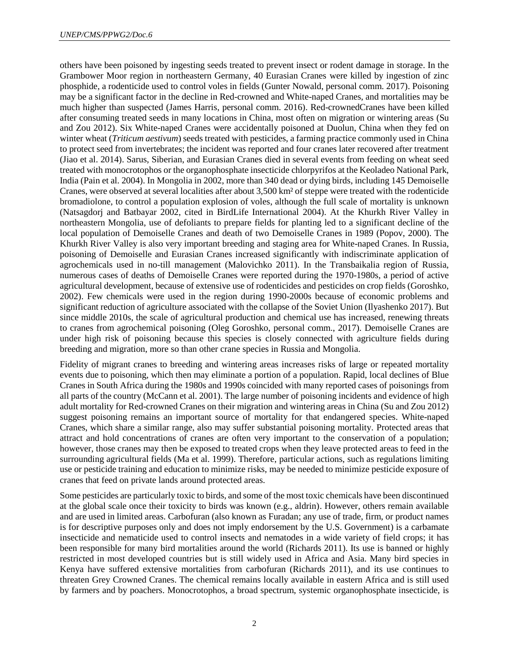others have been poisoned by ingesting seeds treated to prevent insect or rodent damage in storage. In the Grambower Moor region in northeastern Germany, 40 Eurasian Cranes were killed by ingestion of zinc phosphide, a rodenticide used to control voles in fields (Gunter Nowald, personal comm. 2017). Poisoning may be a significant factor in the decline in Red-crowned and White-naped Cranes, and mortalities may be much higher than suspected (James Harris, personal comm. 2016). Red-crownedCranes have been killed after consuming treated seeds in many locations in China, most often on migration or wintering areas (Su and Zou 2012). Six White-naped Cranes were accidentally poisoned at Duolun, China when they fed on winter wheat (*Triticum aestivum*) seeds treated with pesticides, a farming practice commonly used in China to protect seed from invertebrates; the incident was reported and four cranes later recovered after treatment (Jiao et al. 2014). Sarus, Siberian, and Eurasian Cranes died in several events from feeding on wheat seed treated with monocrotophos or the organophosphate insecticide chlorpyrifos at the Keoladeo National Park, India (Pain et al. 2004). In Mongolia in 2002, more than 340 dead or dying birds, including 145 Demoiselle Cranes, were observed at several localities after about 3,500 km² of steppe were treated with the rodenticide bromadiolone, to control a population explosion of voles, although the full scale of mortality is unknown (Natsagdorj and Batbayar 2002, cited in BirdLife International 2004). At the Khurkh River Valley in northeastern Mongolia, use of defoliants to prepare fields for planting led to a significant decline of the local population of Demoiselle Cranes and death of two Demoiselle Cranes in 1989 (Popov, 2000). The Khurkh River Valley is also very important breeding and staging area for White-naped Cranes. In Russia, poisoning of Demoiselle and Eurasian Cranes increased significantly with indiscriminate application of agrochemicals used in no-till management (Malovichko 2011). In the Transbaikalia region of Russia, numerous cases of deaths of Demoiselle Cranes were reported during the 1970-1980s, a period of active agricultural development, because of extensive use of rodenticides and pesticides on crop fields (Goroshko, 2002). Few chemicals were used in the region during 1990-2000s because of economic problems and significant reduction of agriculture associated with the collapse of the Soviet Union (Ilyashenko 2017). But since middle 2010s, the scale of agricultural production and chemical use has increased, renewing threats to cranes from agrochemical poisoning (Oleg Goroshko, personal comm., 2017). Demoiselle Cranes are under high risk of poisoning because this species is closely connected with agriculture fields during breeding and migration, more so than other crane species in Russia and Mongolia.

Fidelity of migrant cranes to breeding and wintering areas increases risks of large or repeated mortality events due to poisoning, which then may eliminate a portion of a population. Rapid, local declines of Blue Cranes in South Africa during the 1980s and 1990s coincided with many reported cases of poisonings from all parts of the country (McCann et al. 2001). The large number of poisoning incidents and evidence of high adult mortality for Red-crowned Cranes on their migration and wintering areas in China (Su and Zou 2012) suggest poisoning remains an important source of mortality for that endangered species. White-naped Cranes, which share a similar range, also may suffer substantial poisoning mortality. Protected areas that attract and hold concentrations of cranes are often very important to the conservation of a population; however, those cranes may then be exposed to treated crops when they leave protected areas to feed in the surrounding agricultural fields (Ma et al. 1999). Therefore, particular actions, such as regulations limiting use or pesticide training and education to minimize risks, may be needed to minimize pesticide exposure of cranes that feed on private lands around protected areas.

Some pesticides are particularly toxic to birds, and some of the most toxic chemicals have been discontinued at the global scale once their toxicity to birds was known (e.g., aldrin). However, others remain available and are used in limited areas. Carbofuran (also known as Furadan; any use of trade, firm, or product names is for descriptive purposes only and does not imply endorsement by the U.S. Government) is a carbamate insecticide and nematicide used to control insects and nematodes in a wide variety of field crops; it has been responsible for many bird mortalities around the world (Richards 2011). Its use is banned or highly restricted in most developed countries but is still widely used in Africa and Asia. Many bird species in Kenya have suffered extensive mortalities from carbofuran (Richards 2011), and its use continues to threaten Grey Crowned Cranes. The chemical remains locally available in eastern Africa and is still used by farmers and by poachers. Monocrotophos, a broad spectrum, systemic organophosphate insecticide, is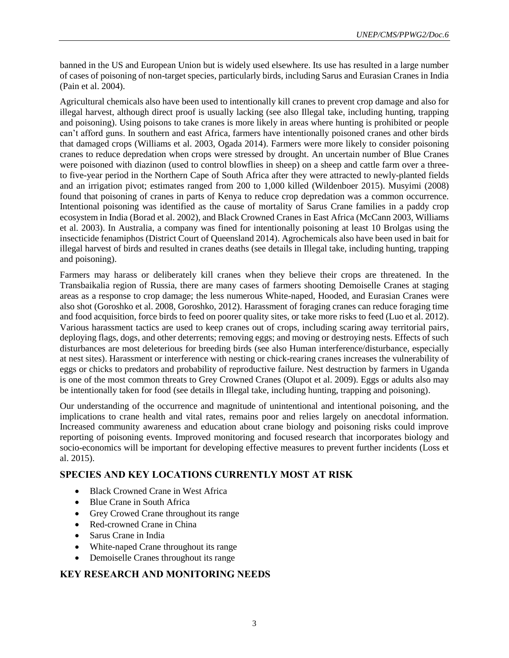banned in the US and European Union but is widely used elsewhere. Its use has resulted in a large number of cases of poisoning of non-target species, particularly birds, including Sarus and Eurasian Cranes in India (Pain et al. 2004).

Agricultural chemicals also have been used to intentionally kill cranes to prevent crop damage and also for illegal harvest, although direct proof is usually lacking (see also Illegal take, including hunting, trapping and poisoning). Using poisons to take cranes is more likely in areas where hunting is prohibited or people can't afford guns. In southern and east Africa, farmers have intentionally poisoned cranes and other birds that damaged crops (Williams et al. 2003, Ogada 2014). Farmers were more likely to consider poisoning cranes to reduce depredation when crops were stressed by drought. An uncertain number of Blue Cranes were poisoned with diazinon (used to control blowflies in sheep) on a sheep and cattle farm over a threeto five-year period in the Northern Cape of South Africa after they were attracted to newly-planted fields and an irrigation pivot; estimates ranged from 200 to 1,000 killed (Wildenboer 2015). Musyimi (2008) found that poisoning of cranes in parts of Kenya to reduce crop depredation was a common occurrence. Intentional poisoning was identified as the cause of mortality of Sarus Crane families in a paddy crop ecosystem in India (Borad et al. 2002), and Black Crowned Cranes in East Africa (McCann 2003, Williams et al. 2003). In Australia, a company was fined for intentionally poisoning at least 10 Brolgas using the insecticide fenamiphos (District Court of Queensland 2014). Agrochemicals also have been used in bait for illegal harvest of birds and resulted in cranes deaths (see details in Illegal take, including hunting, trapping and poisoning).

Farmers may harass or deliberately kill cranes when they believe their crops are threatened. In the Transbaikalia region of Russia, there are many cases of farmers shooting Demoiselle Cranes at staging areas as a response to crop damage; the less numerous White-naped, Hooded, and Eurasian Cranes were also shot (Goroshko et al. 2008, Goroshko, 2012). Harassment of foraging cranes can reduce foraging time and food acquisition, force birds to feed on poorer quality sites, or take more risks to feed (Luo et al. 2012). Various harassment tactics are used to keep cranes out of crops, including scaring away territorial pairs, deploying flags, dogs, and other deterrents; removing eggs; and moving or destroying nests. Effects of such disturbances are most deleterious for breeding birds (see also Human interference/disturbance, especially at nest sites). Harassment or interference with nesting or chick-rearing cranes increases the vulnerability of eggs or chicks to predators and probability of reproductive failure. Nest destruction by farmers in Uganda is one of the most common threats to Grey Crowned Cranes (Olupot et al. 2009). Eggs or adults also may be intentionally taken for food (see details in Illegal take, including hunting, trapping and poisoning).

Our understanding of the occurrence and magnitude of unintentional and intentional poisoning, and the implications to crane health and vital rates, remains poor and relies largely on anecdotal information. Increased community awareness and education about crane biology and poisoning risks could improve reporting of poisoning events. Improved monitoring and focused research that incorporates biology and socio-economics will be important for developing effective measures to prevent further incidents (Loss et al. 2015).

# **SPECIES AND KEY LOCATIONS CURRENTLY MOST AT RISK**

- Black Crowned Crane in West Africa
- Blue Crane in South Africa
- Grey Crowed Crane throughout its range
- Red-crowned Crane in China
- Sarus Crane in India
- White-naped Crane throughout its range
- Demoiselle Cranes throughout its range

# **KEY RESEARCH AND MONITORING NEEDS**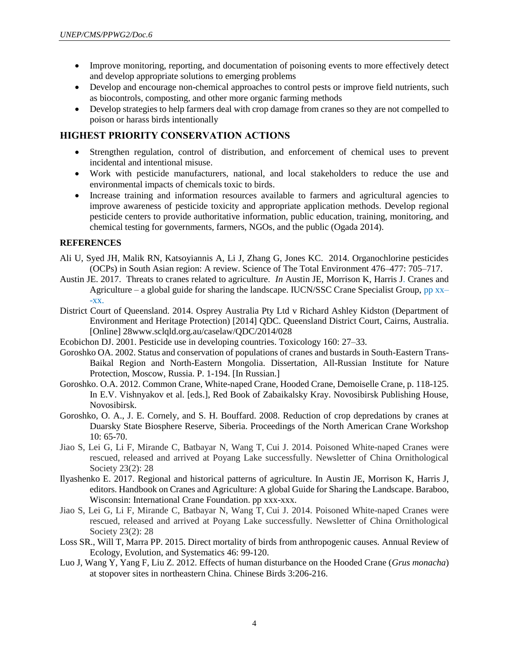- Improve monitoring, reporting, and documentation of poisoning events to more effectively detect and develop appropriate solutions to emerging problems
- Develop and encourage non-chemical approaches to control pests or improve field nutrients, such as biocontrols, composting, and other more organic farming methods
- Develop strategies to help farmers deal with crop damage from cranes so they are not compelled to poison or harass birds intentionally

### **HIGHEST PRIORITY CONSERVATION ACTIONS**

- Strengthen regulation, control of distribution, and enforcement of chemical uses to prevent incidental and intentional misuse.
- Work with pesticide manufacturers, national, and local stakeholders to reduce the use and environmental impacts of chemicals toxic to birds.
- Increase training and information resources available to farmers and agricultural agencies to improve awareness of pesticide toxicity and appropriate application methods. Develop regional pesticide centers to provide authoritative information, public education, training, monitoring, and chemical testing for governments, farmers, NGOs, and the public (Ogada 2014).

#### **REFERENCES**

- Ali U, Syed JH, Malik RN, Katsoyiannis A, Li J, Zhang G, Jones KC. 2014. Organochlorine pesticides (OCPs) in South Asian region: A review. Science of The Total Environment 476–477: 705–717.
- Austin JE. 2017. Threats to cranes related to agriculture. *In* Austin JE, Morrison K, Harris J. Cranes and Agriculture – a global guide for sharing the landscape. IUCN/SSC Crane Specialist Group,  $pp$  xx–  $-XX$ .
- District Court of Queensland. 2014. Osprey Australia Pty Ltd v Richard Ashley Kidston (Department of Environment and Heritage Protection) [2014] QDC. Queensland District Court, Cairns, Australia. [Online] 28www.sclqld.org.au/caselaw/QDC/2014/028
- Ecobichon DJ. 2001. Pesticide use in developing countries. Toxicology 160: 27–33.
- Goroshko OA. 2002. Status and conservation of populations of cranes and bustards in South-Eastern Trans-Baikal Region and North-Eastern Mongolia. Dissertation, All-Russian Institute for Nature Protection, Moscow, Russia. P. 1-194. [In Russian.]
- Goroshko. O.A. 2012. Common Crane, White-naped Crane, Hooded Crane, Demoiselle Crane, p. 118-125. In E.V. Vishnyakov et al. [eds.], Red Book of Zabaikalsky Kray. Novosibirsk Publishing House, Novosibirsk.
- Goroshko, O. A., J. E. Cornely, and S. H. Bouffard. 2008. Reduction of crop depredations by cranes at Duarsky State Biosphere Reserve, Siberia. Proceedings of the North American Crane Workshop 10: 65-70.
- Jiao S, Lei G, Li F, Mirande C, Batbayar N, Wang T, Cui J. 2014. Poisoned White-naped Cranes were rescued, released and arrived at Poyang Lake successfully. Newsletter of China Ornithological Society 23(2): 28
- Ilyashenko E. 2017. Regional and historical patterns of agriculture. In Austin JE, Morrison K, Harris J, editors. Handbook on Cranes and Agriculture: A global Guide for Sharing the Landscape. Baraboo, Wisconsin: International Crane Foundation. pp xxx-xxx.
- Jiao S, Lei G, Li F, Mirande C, Batbayar N, Wang T, Cui J. 2014. Poisoned White-naped Cranes were rescued, released and arrived at Poyang Lake successfully. Newsletter of China Ornithological Society 23(2): 28
- Loss SR., Will T, Marra PP. 2015. Direct mortality of birds from anthropogenic causes. Annual Review of Ecology, Evolution, and Systematics 46: 99-120.
- Luo J, Wang Y, Yang F, Liu Z. 2012. Effects of human disturbance on the Hooded Crane (*Grus monacha*) at stopover sites in northeastern China. Chinese Birds 3:206-216.